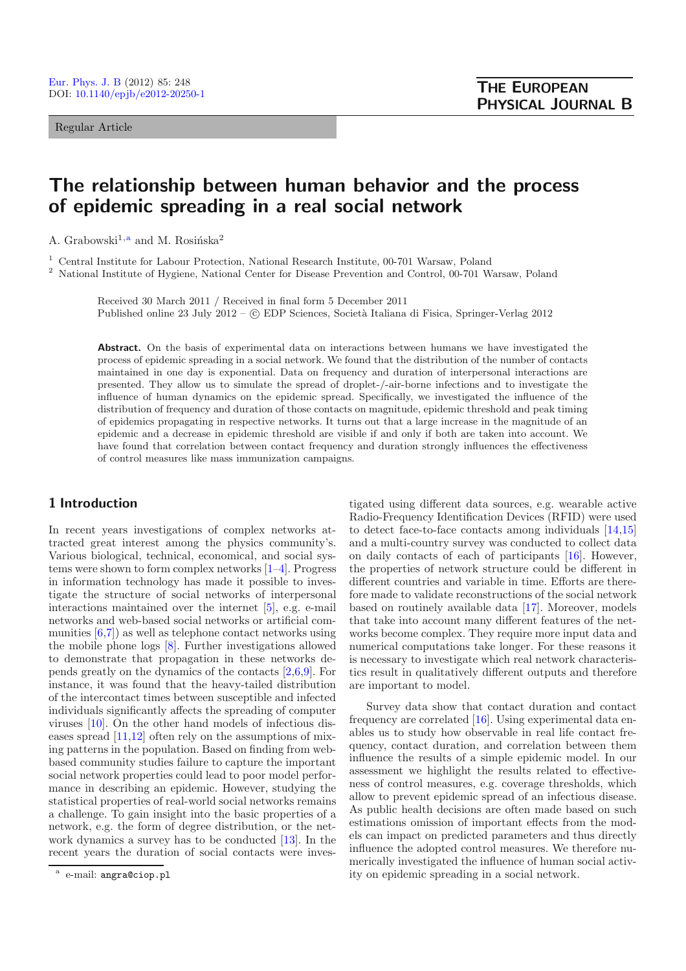Regular Article

# **The relationship between human behavior and the process of epidemic spreading in a real social network**

A. Grabowski<sup>1,a</sup> and M. Rosińska<sup>2</sup>

<sup>1</sup> Central Institute for Labour Protection, National Research Institute, 00-701 Warsaw, Poland

<sup>2</sup> National Institute of Hygiene, National Center for Disease Prevention and Control, 00-701 Warsaw, Poland

Received 30 March 2011 / Received in final form 5 December 2011 Published online 23 July 2012 –  $\odot$  EDP Sciences, Società Italiana di Fisica, Springer-Verlag 2012

**Abstract.** On the basis of experimental data on interactions between humans we have investigated the process of epidemic spreading in a social network. We found that the distribution of the number of contacts maintained in one day is exponential. Data on frequency and duration of interpersonal interactions are presented. They allow us to simulate the spread of droplet-/-air-borne infections and to investigate the influence of human dynamics on the epidemic spread. Specifically, we investigated the influence of the distribution of frequency and duration of those contacts on magnitude, epidemic threshold and peak timing of epidemics propagating in respective networks. It turns out that a large increase in the magnitude of an epidemic and a decrease in epidemic threshold are visible if and only if both are taken into account. We have found that correlation between contact frequency and duration strongly influences the effectiveness of control measures like mass immunization campaigns.

# **1 Introduction**

In recent years investigations of complex networks attracted great interest among the physics community's. Various biological, technical, economical, and social systems were shown to form complex networks [\[1](#page-5-0)[–4\]](#page-5-1). Progress in information technology has made it possible to investigate the structure of social networks of interpersonal interactions maintained over the internet [\[5](#page-5-2)], e.g. e-mail networks and web-based social networks or artificial communities  $[6,7]$  $[6,7]$  $[6,7]$  as well as telephone contact networks using the mobile phone logs [\[8](#page-5-5)]. Further investigations allowed to demonstrate that propagation in these networks depends greatly on the dynamics of the contacts [\[2](#page-5-6)[,6](#page-5-3)[,9](#page-5-7)]. For instance, it was found that the heavy-tailed distribution of the intercontact times between susceptible and infected individuals significantly affects the spreading of computer viruses [\[10\]](#page-5-8). On the other hand models of infectious diseases spread [\[11](#page-5-9)[,12\]](#page-5-10) often rely on the assumptions of mixing patterns in the population. Based on finding from webbased community studies failure to capture the important social network properties could lead to poor model performance in describing an epidemic. However, studying the statistical properties of real-world social networks remains a challenge. To gain insight into the basic properties of a network, e.g. the form of degree distribution, or the network dynamics a survey has to be conducted [\[13\]](#page-5-11). In the recent years the duration of social contacts were investigated using different data sources, e.g. wearable active Radio-Frequency Identification Devices (RFID) were used to detect face-to-face contacts among individuals [\[14](#page-5-12)[,15\]](#page-5-13) and a multi-country survey was conducted to collect data on daily contacts of each of participants [\[16\]](#page-5-14). However, the properties of network structure could be different in different countries and variable in time. Efforts are therefore made to validate reconstructions of the social network based on routinely available data [\[17\]](#page-5-15). Moreover, models that take into account many different features of the networks become complex. They require more input data and numerical computations take longer. For these reasons it is necessary to investigate which real network characteristics result in qualitatively different outputs and therefore are important to model.

Survey data show that contact duration and contact frequency are correlated [\[16](#page-5-14)]. Using experimental data enables us to study how observable in real life contact frequency, contact duration, and correlation between them influence the results of a simple epidemic model. In our assessment we highlight the results related to effectiveness of control measures, e.g. coverage thresholds, which allow to prevent epidemic spread of an infectious disease. As public health decisions are often made based on such estimations omission of important effects from the models can impact on predicted parameters and thus directly influence the adopted control measures. We therefore numerically investigated the influence of human social activity on epidemic spreading in a social network.

e-mail: angra@ciop.pl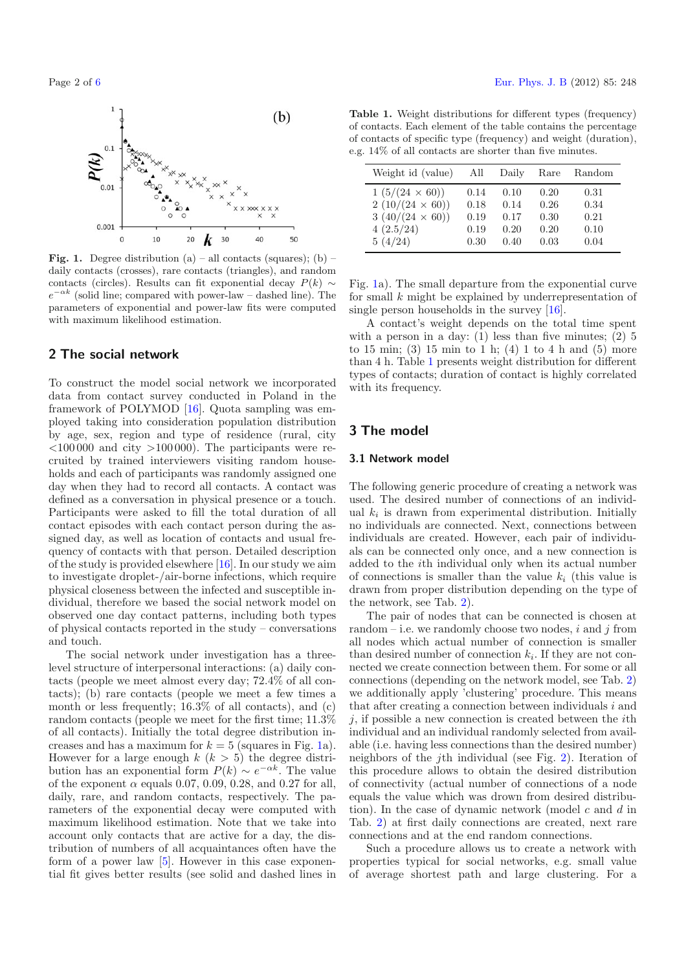<span id="page-1-0"></span>

**Fig. 1.** Degree distribution (a) – all contacts (squares); (b) – daily contacts (crosses), rare contacts (triangles), and random contacts (circles). Results can fit exponential decay  $P(k) \sim$  $e^{-\alpha k}$  (solid line; compared with power-law – dashed line). The parameters of exponential and power-law fits were computed with maximum likelihood estimation.

## **2 The social network**

To construct the model social network we incorporated data from contact survey conducted in Poland in the framework of POLYMOD [\[16](#page-5-14)]. Quota sampling was employed taking into consideration population distribution by age, sex, region and type of residence (rural, city  $\langle 100000 \rangle$  and city  $>100000$ . The participants were recruited by trained interviewers visiting random households and each of participants was randomly assigned one day when they had to record all contacts. A contact was defined as a conversation in physical presence or a touch. Participants were asked to fill the total duration of all contact episodes with each contact person during the assigned day, as well as location of contacts and usual frequency of contacts with that person. Detailed description of the study is provided elsewhere [\[16\]](#page-5-14). In our study we aim to investigate droplet-/air-borne infections, which require physical closeness between the infected and susceptible individual, therefore we based the social network model on observed one day contact patterns, including both types of physical contacts reported in the study – conversations and touch.

The social network under investigation has a threelevel structure of interpersonal interactions: (a) daily contacts (people we meet almost every day; 72.4% of all contacts); (b) rare contacts (people we meet a few times a month or less frequently; 16.3% of all contacts), and (c) random contacts (people we meet for the first time; 11.3% of all contacts). Initially the total degree distribution increases and has a maximum for  $k = 5$  (squares in Fig. [1a](#page-1-0)). However for a large enough  $k$   $(k > 5)$  the degree distribution has an exponential form  $P(k) \sim e^{-\alpha k}$ . The value of the exponent  $\alpha$  equals 0.07, 0.09, 0.28, and 0.27 for all, daily, rare, and random contacts, respectively. The parameters of the exponential decay were computed with maximum likelihood estimation. Note that we take into account only contacts that are active for a day, the distribution of numbers of all acquaintances often have the form of a power law [\[5\]](#page-5-2). However in this case exponential fit gives better results (see solid and dashed lines in

<span id="page-1-1"></span>**Table 1.** Weight distributions for different types (frequency) of contacts. Each element of the table contains the percentage of contacts of specific type (frequency) and weight (duration), e.g. 14% of all contacts are shorter than five minutes.

| Weight id (value)      | All  | Daily | Rare | Random |
|------------------------|------|-------|------|--------|
| $1(5/(24 \times 60))$  | 0.14 | 0.10  | 0.20 | 0.31   |
| $2(10/(24 \times 60))$ | 0.18 | 0.14  | 0.26 | 0.34   |
| $3(40/(24 \times 60))$ | 0.19 | 0.17  | 0.30 | 0.21   |
| 4(2.5/24)              | 0.19 | 0.20  | 0.20 | 0.10   |
| 5(4/24)                | 0.30 | 0.40  | 0.03 | 0.04   |

Fig. [1a](#page-1-0)). The small departure from the exponential curve for small k might be explained by underrepresentation of single person households in the survey [\[16\]](#page-5-14).

A contact's weight depends on the total time spent with a person in a day:  $(1)$  less than five minutes;  $(2)$  5 to 15 min; (3) 15 min to 1 h; (4) 1 to 4 h and (5) more than 4 h. Table [1](#page-1-1) presents weight distribution for different types of contacts; duration of contact is highly correlated with its frequency.

## **3 The model**

#### **3.1 Network model**

The following generic procedure of creating a network was used. The desired number of connections of an individual  $k_i$  is drawn from experimental distribution. Initially no individuals are connected. Next, connections between individuals are created. However, each pair of individuals can be connected only once, and a new connection is added to the ith individual only when its actual number of connections is smaller than the value  $k_i$  (this value is drawn from proper distribution depending on the type of the network, see Tab. [2\)](#page-3-0).

The pair of nodes that can be connected is chosen at random – i.e. we randomly choose two nodes,  $i$  and  $j$  from all nodes which actual number of connection is smaller than desired number of connection  $k_i$ . If they are not connected we create connection between them. For some or all connections (depending on the network model, see Tab. [2\)](#page-3-0) we additionally apply 'clustering' procedure. This means that after creating a connection between individuals  $i$  and  $j$ , if possible a new connection is created between the *i*th individual and an individual randomly selected from available (i.e. having less connections than the desired number) neighbors of the jth individual (see Fig. [2\)](#page-2-0). Iteration of this procedure allows to obtain the desired distribution of connectivity (actual number of connections of a node equals the value which was drown from desired distribution). In the case of dynamic network (model c and  $d$  in Tab. [2\)](#page-3-0) at first daily connections are created, next rare connections and at the end random connections.

Such a procedure allows us to create a network with properties typical for social networks, e.g. small value of average shortest path and large clustering. For a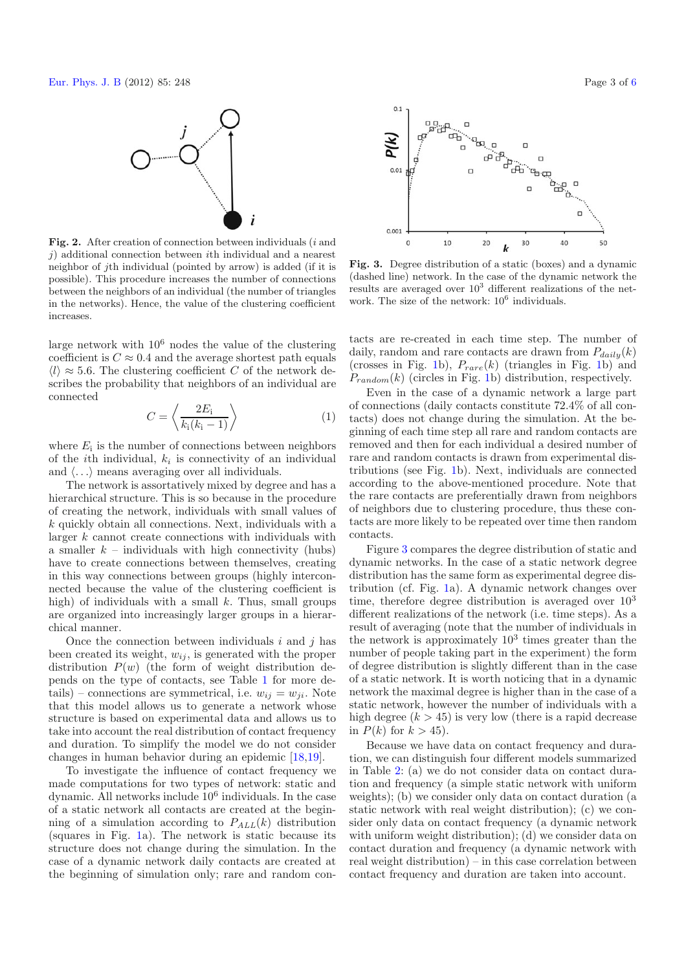<span id="page-2-0"></span>

**Fig. 2.** After creation of connection between individuals (<sup>i</sup> and  $j$ ) additional connection between *i*th individual and a nearest neighbor of jth individual (pointed by arrow) is added (if it is possible). This procedure increases the number of connections between the neighbors of an individual (the number of triangles in the networks). Hence, the value of the clustering coefficient increases.

large network with  $10^6$  nodes the value of the clustering coefficient is  $C \approx 0.4$  and the average shortest path equals  $\langle l \rangle \approx 5.6$ . The clustering coefficient C of the network describes the probability that neighbors of an individual are connected

$$
C = \left\langle \frac{2E_{\rm i}}{k_{\rm i}(k_{\rm i}-1)} \right\rangle \tag{1}
$$

where  $E_i$  is the number of connections between neighbors of the *i*th individual,  $k_i$  is connectivity of an individual and  $\langle \ldots \rangle$  means averaging over all individuals.

The network is assortatively mixed by degree and has a hierarchical structure. This is so because in the procedure of creating the network, individuals with small values of  $k$  quickly obtain all connections. Next, individuals with a larger k cannot create connections with individuals with a smaller  $k$  – individuals with high connectivity (hubs) have to create connections between themselves, creating in this way connections between groups (highly interconnected because the value of the clustering coefficient is high) of individuals with a small  $k$ . Thus, small groups are organized into increasingly larger groups in a hierarchical manner.

Once the connection between individuals  $i$  and  $j$  has been created its weight,  $w_{ij}$ , is generated with the proper distribution  $P(w)$  (the form of weight distribution depends on the type of contacts, see Table [1](#page-1-1) for more details) – connections are symmetrical, i.e.  $w_{ij} = w_{ji}$ . Note that this model allows us to generate a network whose structure is based on experimental data and allows us to take into account the real distribution of contact frequency and duration. To simplify the model we do not consider changes in human behavior during an epidemic [\[18](#page-5-17)[,19\]](#page-5-18).

To investigate the influence of contact frequency we made computations for two types of network: static and dynamic. All networks include 10<sup>6</sup> individuals. In the case of a static network all contacts are created at the beginning of a simulation according to P*ALL*(k) distribution (squares in Fig. [1a](#page-1-0)). The network is static because its structure does not change during the simulation. In the case of a dynamic network daily contacts are created at the beginning of simulation only; rare and random con-

<span id="page-2-1"></span>

**Fig. 3.** Degree distribution of a static (boxes) and a dynamic (dashed line) network. In the case of the dynamic network the results are averaged over  $10<sup>3</sup>$  different realizations of the network. The size of the network:  $10^6$  individuals.

tacts are re-created in each time step. The number of daily, random and rare contacts are drawn from  $P_{dailu}(k)$ (crosses in Fig. [1b](#page-1-0)),  $P_{rare}(k)$  (triangles in Fig. 1b) and  $P_{random}(k)$  (circles in Fig. [1b](#page-1-0)) distribution, respectively.

Even in the case of a dynamic network a large part of connections (daily contacts constitute 72.4% of all contacts) does not change during the simulation. At the beginning of each time step all rare and random contacts are removed and then for each individual a desired number of rare and random contacts is drawn from experimental distributions (see Fig. [1b](#page-1-0)). Next, individuals are connected according to the above-mentioned procedure. Note that the rare contacts are preferentially drawn from neighbors of neighbors due to clustering procedure, thus these contacts are more likely to be repeated over time then random contacts.

Figure [3](#page-2-1) compares the degree distribution of static and dynamic networks. In the case of a static network degree distribution has the same form as experimental degree distribution (cf. Fig. [1a](#page-1-0)). A dynamic network changes over time, therefore degree distribution is averaged over  $10^3$ different realizations of the network (i.e. time steps). As a result of averaging (note that the number of individuals in the network is approximately  $10^3$  times greater than the number of people taking part in the experiment) the form of degree distribution is slightly different than in the case of a static network. It is worth noticing that in a dynamic network the maximal degree is higher than in the case of a static network, however the number of individuals with a high degree  $(k > 45)$  is very low (there is a rapid decrease in  $P(k)$  for  $k > 45$ ).

Because we have data on contact frequency and duration, we can distinguish four different models summarized in Table [2:](#page-3-0) (a) we do not consider data on contact duration and frequency (a simple static network with uniform weights); (b) we consider only data on contact duration (a static network with real weight distribution); (c) we consider only data on contact frequency (a dynamic network with uniform weight distribution); (d) we consider data on contact duration and frequency (a dynamic network with real weight distribution) – in this case correlation between contact frequency and duration are taken into account.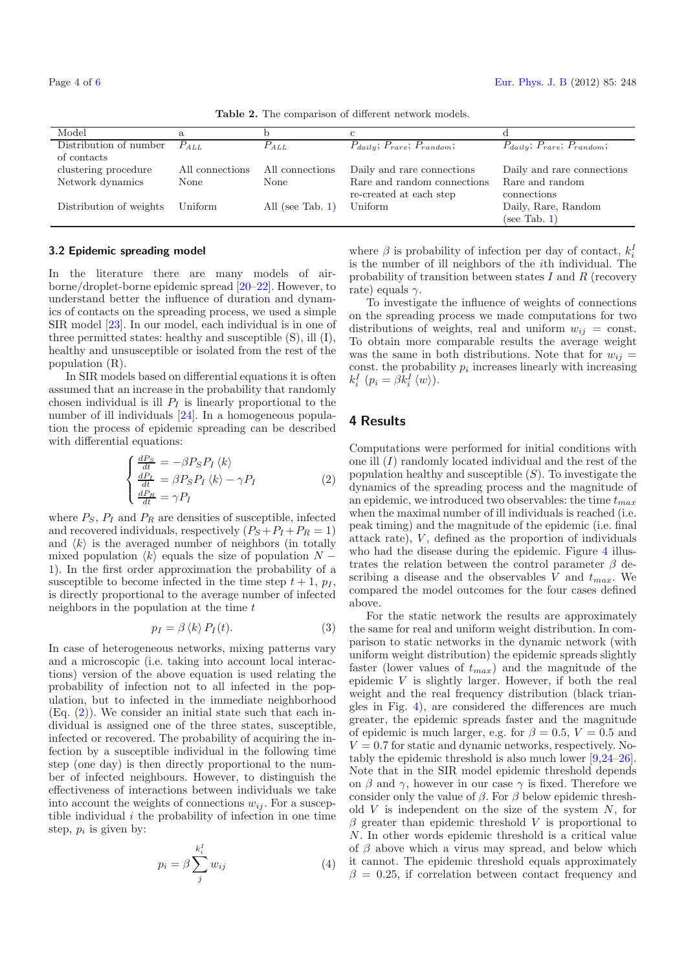Table 2. The comparison of different network models. Model a b c d Distribution of number  $P_{ALL}$   $P_{ALL}$   $P_{daily}$ ;  $P_{rare}$ ;  $P_{random}$ ;  $P_{daily}$ ;  $P_{rare}$ ;  $P_{random}$ ; of contacts clustering procedure All connections All connections Daily and rare connections Daily and rare connections Network dynamics None None Rare and random connections Rare and random re-created at each step connections Distribution of weights Uniform All (see Tab. [1\)](#page-1-1) Uniform Daily, Rare, Random (see Tab. [1\)](#page-1-1)

<span id="page-3-0"></span>

### **3.2 Epidemic spreading model**

<span id="page-3-1"></span>In the literature there are many models of airborne/droplet-borne epidemic spread [\[20](#page-5-19)[–22\]](#page-5-20). However, to understand better the influence of duration and dynamics of contacts on the spreading process, we used a simple SIR model [\[23](#page-5-21)]. In our model, each individual is in one of three permitted states: healthy and susceptible (S), ill (I), healthy and unsusceptible or isolated from the rest of the population (R).

In SIR models based on differential equations it is often assumed that an increase in the probability that randomly chosen individual is ill  $P_I$  is linearly proportional to the number of ill individuals [\[24\]](#page-5-22). In a homogeneous population the process of epidemic spreading can be described with differential equations:

$$
\begin{cases}\n\frac{dP_S}{dt} = -\beta P_S P_I \langle k \rangle \\
\frac{dP_I}{dt} = \beta P_S P_I \langle k \rangle - \gamma P_I \\
\frac{dP_R}{dt} = \gamma P_I\n\end{cases}
$$
\n(2)

where  $P_S$ ,  $P_I$  and  $P_R$  are densities of susceptible, infected and recovered individuals, respectively  $(P_S + P_I + P_R = 1)$ and  $\langle k \rangle$  is the averaged number of neighbors (in totally mixed population  $\langle k \rangle$  equals the size of population N − 1). In the first order approximation the probability of a susceptible to become infected in the time step  $t + 1$ ,  $p<sub>I</sub>$ , is directly proportional to the average number of infected neighbors in the population at the time  $t$ 

$$
p_I = \beta \langle k \rangle P_I(t). \tag{3}
$$

<span id="page-3-2"></span>In case of heterogeneous networks, mixing patterns vary and a microscopic (i.e. taking into account local interactions) version of the above equation is used relating the probability of infection not to all infected in the population, but to infected in the immediate neighborhood  $(Eq. (2))$  $(Eq. (2))$  $(Eq. (2))$ . We consider an initial state such that each individual is assigned one of the three states, susceptible, infected or recovered. The probability of acquiring the infection by a susceptible individual in the following time step (one day) is then directly proportional to the number of infected neighbours. However, to distinguish the effectiveness of interactions between individuals we take into account the weights of connections  $w_{ij}$ . For a susceptible individual  $i$  the probability of infection in one time step,  $p_i$  is given by:

$$
p_i = \beta \sum_{j}^{k_i^I} w_{ij} \tag{4}
$$

where  $\beta$  is probability of infection per day of contact,  $k_i^I$ is the number of ill neighbors of the ith individual. The probability of transition between states  $I$  and  $R$  (recovery rate) equals  $\gamma$ .

To investigate the influence of weights of connections on the spreading process we made computations for two distributions of weights, real and uniform  $w_{ij} = \text{const.}$ To obtain more comparable results the average weight was the same in both distributions. Note that for  $w_{ij} =$ const. the probability  $p_i$  increases linearly with increasing  $k_i^I$   $(p_i = \beta \dot{k}_i^I \langle w \rangle).$ 

# **4 Results**

Computations were performed for initial conditions with one ill  $(I)$  randomly located individual and the rest of the population healthy and susceptible  $(S)$ . To investigate the dynamics of the spreading process and the magnitude of an epidemic, we introduced two observables: the time  $t_{max}$ when the maximal number of ill individuals is reached (i.e. peak timing) and the magnitude of the epidemic (i.e. final attack rate), V , defined as the proportion of individuals who had the disease during the epidemic. Figure [4](#page-4-0) illustrates the relation between the control parameter  $\beta$  describing a disease and the observables V and  $t_{max}$ . We compared the model outcomes for the four cases defined above.

For the static network the results are approximately the same for real and uniform weight distribution. In comparison to static networks in the dynamic network (with uniform weight distribution) the epidemic spreads slightly faster (lower values of  $t_{max}$ ) and the magnitude of the epidemic  $V$  is slightly larger. However, if both the real weight and the real frequency distribution (black triangles in Fig. [4\)](#page-4-0), are considered the differences are much greater, the epidemic spreads faster and the magnitude of epidemic is much larger, e.g. for  $\beta = 0.5$ ,  $V = 0.5$  and  $V = 0.7$  for static and dynamic networks, respectively. Notably the epidemic threshold is also much lower [\[9](#page-5-7)[,24](#page-5-22)[–26\]](#page-5-23). Note that in the SIR model epidemic threshold depends on  $\beta$  and  $\gamma$ , however in our case  $\gamma$  is fixed. Therefore we consider only the value of  $\beta$ . For  $\beta$  below epidemic threshold  $V$  is independent on the size of the system  $N$ , for  $\beta$  greater than epidemic threshold V is proportional to N. In other words epidemic threshold is a critical value of  $\beta$  above which a virus may spread, and below which it cannot. The epidemic threshold equals approximately  $\beta = 0.25$ , if correlation between contact frequency and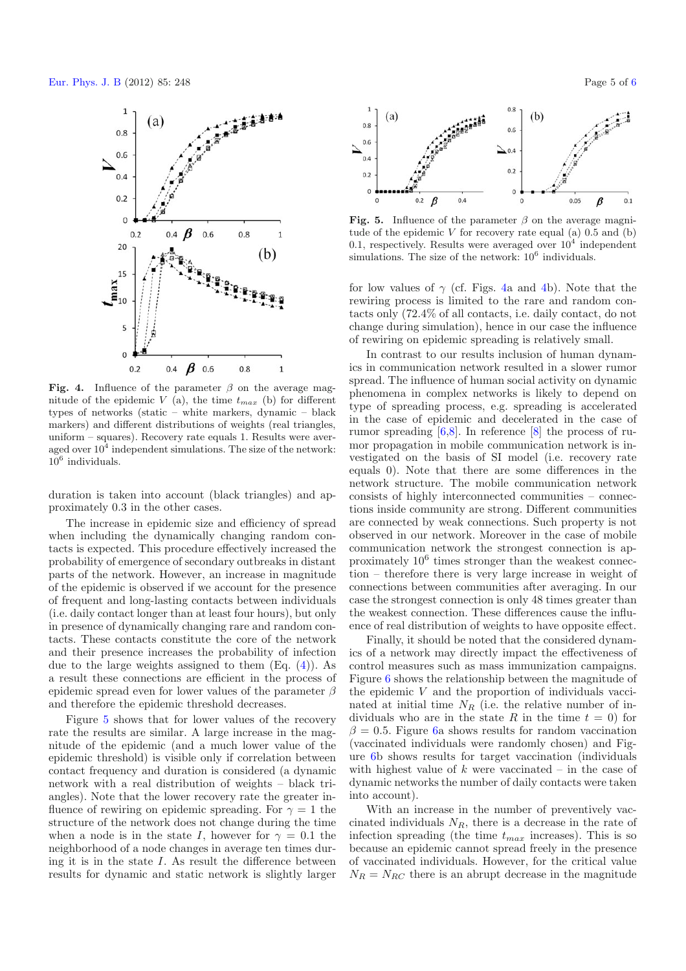<span id="page-4-0"></span>

**Fig. 4.** Influence of the parameter  $\beta$  on the average magnitude of the epidemic V (a), the time  $t_{max}$  (b) for different types of networks (static – white markers, dynamic – black markers) and different distributions of weights (real triangles, uniform – squares). Recovery rate equals 1. Results were averaged over  $10^4$  independent simulations. The size of the network:  $10^6$  individuals.

duration is taken into account (black triangles) and approximately 0.3 in the other cases.

The increase in epidemic size and efficiency of spread when including the dynamically changing random contacts is expected. This procedure effectively increased the probability of emergence of secondary outbreaks in distant parts of the network. However, an increase in magnitude of the epidemic is observed if we account for the presence of frequent and long-lasting contacts between individuals (i.e. daily contact longer than at least four hours), but only in presence of dynamically changing rare and random contacts. These contacts constitute the core of the network and their presence increases the probability of infection due to the large weights assigned to them  $(Eq. (4))$  $(Eq. (4))$  $(Eq. (4))$ . As a result these connections are efficient in the process of epidemic spread even for lower values of the parameter  $\beta$ and therefore the epidemic threshold decreases.

Figure [5](#page-4-1) shows that for lower values of the recovery rate the results are similar. A large increase in the magnitude of the epidemic (and a much lower value of the epidemic threshold) is visible only if correlation between contact frequency and duration is considered (a dynamic network with a real distribution of weights – black triangles). Note that the lower recovery rate the greater influence of rewiring on epidemic spreading. For  $\gamma = 1$  the structure of the network does not change during the time when a node is in the state I, however for  $\gamma = 0.1$  the neighborhood of a node changes in average ten times during it is in the state  $I$ . As result the difference between results for dynamic and static network is slightly larger

<span id="page-4-1"></span>

**Fig. 5.** Influence of the parameter  $\beta$  on the average magnitude of the epidemic  $V$  for recovery rate equal (a)  $0.5$  and (b) 0.1, respectively. Results were averaged over  $10^4$  independent simulations. The size of the network:  $10^6$  individuals.

for low values of  $\gamma$  (cf. Figs. [4a](#page-4-0) and [4b](#page-4-0)). Note that the rewiring process is limited to the rare and random contacts only (72.4% of all contacts, i.e. daily contact, do not change during simulation), hence in our case the influence of rewiring on epidemic spreading is relatively small.

In contrast to our results inclusion of human dynamics in communication network resulted in a slower rumor spread. The influence of human social activity on dynamic phenomena in complex networks is likely to depend on type of spreading process, e.g. spreading is accelerated in the case of epidemic and decelerated in the case of rumor spreading [\[6](#page-5-3)[,8\]](#page-5-5). In reference [\[8\]](#page-5-5) the process of rumor propagation in mobile communication network is investigated on the basis of SI model (i.e. recovery rate equals 0). Note that there are some differences in the network structure. The mobile communication network consists of highly interconnected communities – connections inside community are strong. Different communities are connected by weak connections. Such property is not observed in our network. Moreover in the case of mobile communication network the strongest connection is approximately  $10<sup>6</sup>$  times stronger than the weakest connection – therefore there is very large increase in weight of connections between communities after averaging. In our case the strongest connection is only 48 times greater than the weakest connection. These differences cause the influence of real distribution of weights to have opposite effect.

Finally, it should be noted that the considered dynamics of a network may directly impact the effectiveness of control measures such as mass immunization campaigns. Figure [6](#page-5-24) shows the relationship between the magnitude of the epidemic V and the proportion of individuals vaccinated at initial time  $N_R$  (i.e. the relative number of individuals who are in the state R in the time  $t = 0$  for  $\beta = 0.5$ . Figure [6a](#page-5-24) shows results for random vaccination (vaccinated individuals were randomly chosen) and Figure [6b](#page-5-24) shows results for target vaccination (individuals with highest value of k were vaccinated – in the case of dynamic networks the number of daily contacts were taken into account).

With an increase in the number of preventively vaccinated individuals  $N_R$ , there is a decrease in the rate of infection spreading (the time  $t_{max}$  increases). This is so because an epidemic cannot spread freely in the presence of vaccinated individuals. However, for the critical value  $N_R = N_{RC}$  there is an abrupt decrease in the magnitude